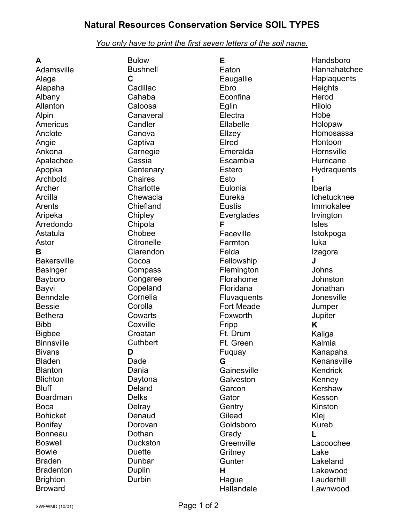## **Natural Resources Conservation Service SOIL TYPES**

## *You only have to print the first seven letters of the soil name.*

| A                  | <b>Bulow</b>    | E                 | Handsboro      |
|--------------------|-----------------|-------------------|----------------|
| Adamsville         | <b>Bushnell</b> | Eaton             | Hannahatchee   |
| Alaga              | C               | Eaugallie         | Haplaquents    |
| Alapaha            | Cadillac        | Ebro              | <b>Heights</b> |
| Albany             | Cahaba          | Econfina          | Herod          |
| Allanton           | Caloosa         | Eglin             | Hilolo         |
| Alpin              | Canaveral       | Electra           | Hobe           |
| Americus           | Candler         | Ellabelle         | Holopaw        |
|                    |                 |                   | Homosassa      |
| Anclote            | Canova          | Ellzey            |                |
| Angie              | Captiva         | Elred             | Hontoon        |
| Ankona             | Carnegie        | Emeralda          | Hornsville     |
| Apalachee          | Cassia          | Escambia          | Hurricane      |
| Apopka             | Centenary       | <b>Estero</b>     | Hydraquents    |
| Archbold           | <b>Chaires</b>  | Esto              |                |
| Archer             | Charlotte       | Eulonia           | Iberia         |
| Ardilla            | Chewacla        | Eureka            | Ichetucknee    |
| Arents             | Chiefland       | <b>Eustis</b>     | Immokalee      |
| Aripeka            | Chipley         | Everglades        | Irvington      |
| Arredondo          | Chipola         | F                 | <b>Isles</b>   |
| Astatula           | Chobee          | Faceville         | Istokpoga      |
| Astor              | Citronelle      | Farmton           | luka           |
| B                  | Clarendon       | Felda             | Izagora        |
| <b>Bakersville</b> | Cocoa           | Fellowship        | J              |
| <b>Basinger</b>    | Compass         | Flemington        | Johns          |
| Bayboro            | Congaree        | Florahome         | Johnston       |
| Bayvi              | Copeland        | Floridana         | Jonathan       |
| <b>Benndale</b>    | Cornelia        | Fluvaquents       | Jonesville     |
| <b>Bessie</b>      | Corolla         | <b>Fort Meade</b> |                |
| <b>Bethera</b>     | Cowarts         |                   | Jumper         |
|                    |                 | Foxworth          | Jupiter        |
| <b>Bibb</b>        | Coxville        | Fripp             | Κ              |
| <b>Bigbee</b>      | Croatan         | Ft. Drum          | Kaliga         |
| <b>Binnsville</b>  | Cuthbert        | Ft. Green         | Kalmia         |
| <b>Bivans</b>      | D               | Fuquay            | Kanapaha       |
| <b>Bladen</b>      | Dade            | G                 | Kenansville    |
| <b>Blanton</b>     | Dania           | Gainesville       | Kendrick       |
| <b>Blichton</b>    | Daytona         | Galveston         | Kenney         |
| <b>Bluff</b>       | Deland          | Garcon            | Kershaw        |
| <b>Boardman</b>    | <b>Delks</b>    | Gator             | Kesson         |
| <b>Boca</b>        | Delray          | Gentry            | Kinston        |
| <b>Bohicket</b>    | Denaud          | Gilead            | Klej           |
| <b>Bonifay</b>     | Dorovan         | Goldsboro         | Kureb          |
| <b>Bonneau</b>     | Dothan          | Grady             | L              |
| <b>Boswell</b>     | <b>Duckston</b> | Greenville        | Lacoochee      |
| <b>Bowie</b>       | <b>Duette</b>   | Gritney           | Lake           |
| <b>Braden</b>      | Dunbar          | Gunter            | Lakeland       |
| <b>Bradenton</b>   | Duplin          | H                 | Lakewood       |
| <b>Brighton</b>    | Durbin          | Hague             | Lauderhill     |
| <b>Broward</b>     |                 | Hallandale        | Lawnwood       |
|                    |                 |                   |                |